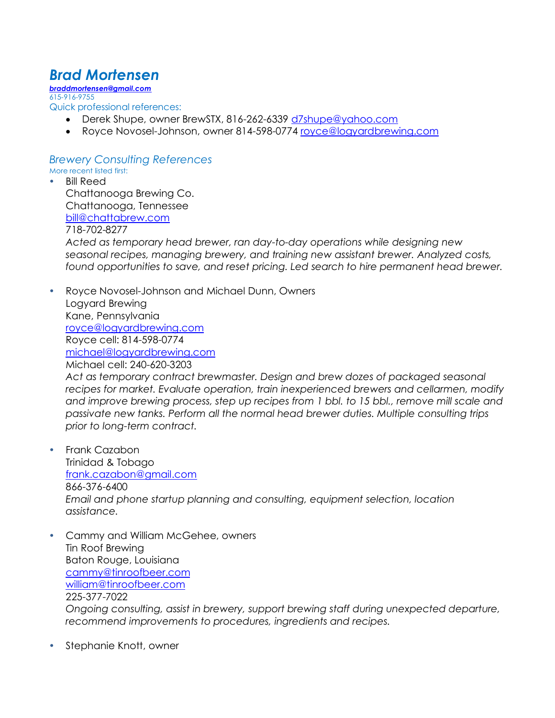## *Brad Mortensen*

*braddmortensen@gmail.com* 615-916-9755 Quick professional references:

- Derek Shupe, owner BrewSTX, 816-262-6339 d7shupe@yahoo.com
- Royce Novosel-Johnson, owner 814-598-0774 royce@logyardbrewing.com

## *Brewery Consulting References*

More recent listed first:

- Bill Reed Chattanooga Brewing Co. Chattanooga, Tennessee bill@chattabrew.com 718-702-8277 *Acted as temporary head brewer, ran day-to-day operations while designing new seasonal recipes, managing brewery, and training new assistant brewer. Analyzed costs, found opportunities to save, and reset pricing. Led search to hire permanent head brewer.*
- Royce Novosel-Johnson and Michael Dunn, Owners Logyard Brewing Kane, Pennsylvania royce@logyardbrewing.com Royce cell: 814-598-0774 michael@logyardbrewing.com Michael cell: 240-620-3203 *Act as temporary contract brewmaster. Design and brew dozes of packaged seasonal recipes for market. Evaluate operation, train inexperienced brewers and cellarmen, modify and improve brewing process, step up recipes from 1 bbl. to 15 bbl., remove mill scale and passivate new tanks. Perform all the normal head brewer duties. Multiple consulting trips prior to long-term contract.*
- Frank Cazabon Trinidad & Tobago frank.cazabon@gmail.com 866-376-6400 *Email and phone startup planning and consulting, equipment selection, location assistance.*

 Cammy and William McGehee, owners Tin Roof Brewing Baton Rouge, Louisiana cammy@tinroofbeer.com william@tinroofbeer.com 225-377-7022 *Ongoing consulting, assist in brewery, support brewing staff during unexpected departure, recommend improvements to procedures, ingredients and recipes.*

• Stephanie Knott, owner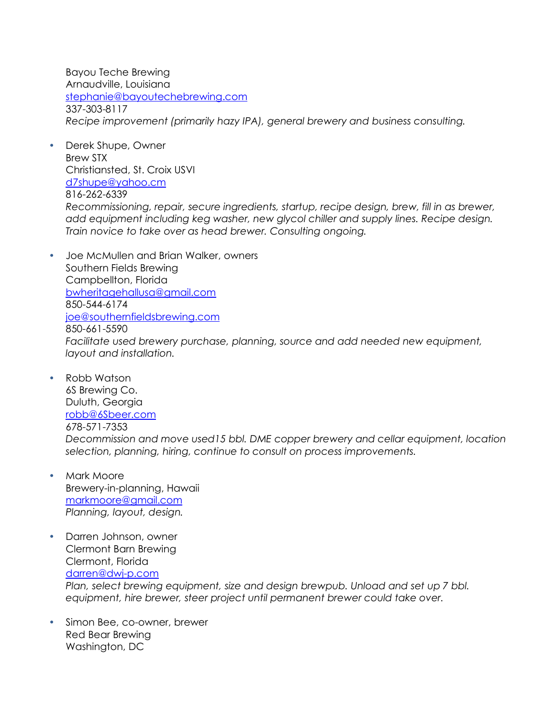Bayou Teche Brewing Arnaudville, Louisiana stephanie@bayoutechebrewing.com 337-303-8117 *Recipe improvement (primarily hazy IPA), general brewery and business consulting.*

- Derek Shupe, Owner Brew STX Christiansted, St. Croix USVI d7shupe@yahoo.cm 816-262-6339 *Recommissioning, repair, secure ingredients, startup, recipe design, brew, fill in as brewer, add equipment including keg washer, new glycol chiller and supply lines. Recipe design. Train novice to take over as head brewer. Consulting ongoing.*
- Joe McMullen and Brian Walker, owners Southern Fields Brewing Campbellton, Florida bwheritagehallusa@gmail.com 850-544-6174 joe@southernfieldsbrewing.com 850-661-5590 *Facilitate used brewery purchase, planning, source and add needed new equipment, layout and installation.*
- Robb Watson 6S Brewing Co. Duluth, Georgia robb@6Sbeer.com 678-571-7353 *Decommission and move used15 bbl. DME copper brewery and cellar equipment, location selection, planning, hiring, continue to consult on process improvements.*
- Mark Moore Brewery-in-planning, Hawaii markmoore@gmail.com *Planning, layout, design.*
- Darren Johnson, owner Clermont Barn Brewing Clermont, Florida darren@dwj-p.com *Plan, select brewing equipment, size and design brewpub. Unload and set up 7 bbl. equipment, hire brewer, steer project until permanent brewer could take over.*
- Simon Bee, co-owner, brewer Red Bear Brewing Washington, DC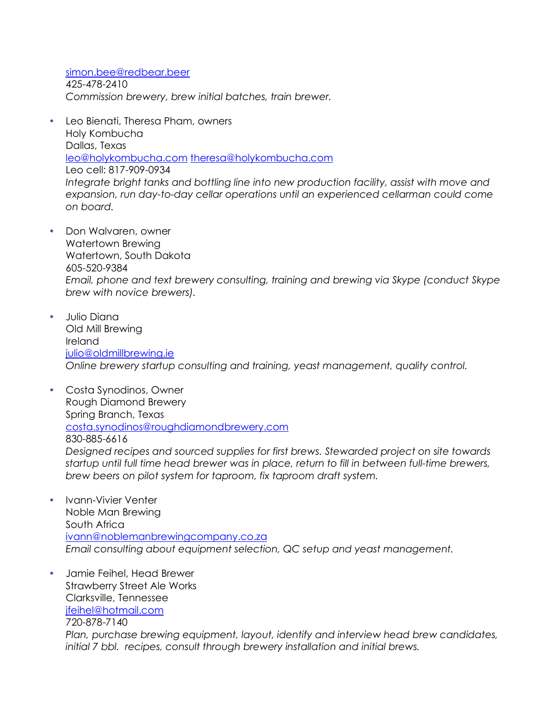simon.bee@redbear.beer 425-478-2410 *Commission brewery, brew initial batches, train brewer.*

- Leo Bienati, Theresa Pham, owners Holy Kombucha Dallas, Texas leo@holykombucha.com theresa@holykombucha.com Leo cell: 817-909-0934 *Integrate bright tanks and bottling line into new production facility, assist with move and expansion, run day-to-day cellar operations until an experienced cellarman could come on board.*
- Don Walvaren, owner Watertown Brewing Watertown, South Dakota 605-520-9384 *Email, phone and text brewery consulting, training and brewing via Skype (conduct Skype brew with novice brewers).*
- Julio Diana Old Mill Brewing Ireland julio@oldmillbrewing.ie *Online brewery startup consulting and training, yeast management, quality control.*
- Costa Synodinos, Owner Rough Diamond Brewery Spring Branch, Texas costa.synodinos@roughdiamondbrewery.com 830-885-6616 *Designed recipes and sourced supplies for first brews. Stewarded project on site towards startup until full time head brewer was in place, return to fill in between full-time brewers, brew beers on pilot system for taproom, fix taproom draft system.*
- Ivann-Vivier Venter Noble Man Brewing South Africa ivann@noblemanbrewingcompany.co.za *Email consulting about equipment selection, QC setup and yeast management.*
- Jamie Feihel, Head Brewer Strawberry Street Ale Works Clarksville, Tennessee jfeihel@hotmail.com 720-878-7140 *Plan, purchase brewing equipment, layout, identify and interview head brew candidates, initial 7 bbl. recipes, consult through brewery installation and initial brews.*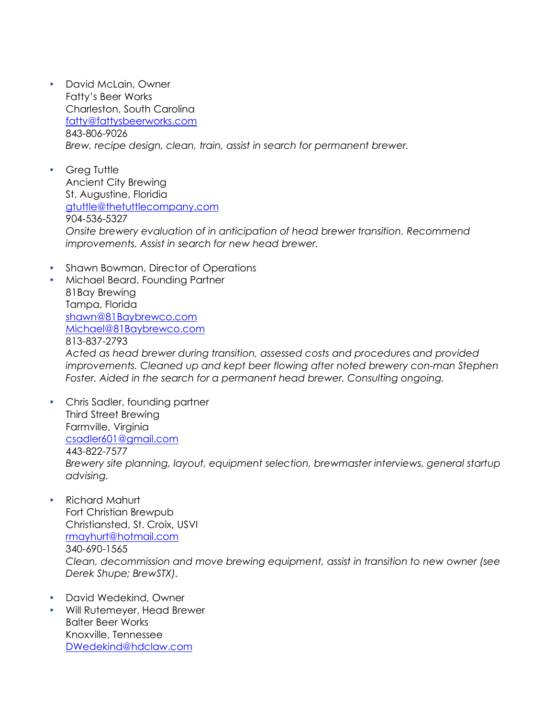- David McLain, Owner Fatty's Beer Works Charleston, South Carolina fatty@fattysbeerworks.com 843-806-9026 *Brew, recipe design, clean, train, assist in search for permanent brewer.*
- Greg Tuttle Ancient City Brewing St. Augustine, Floridia gtuttle@thetuttlecompany.com 904-536-5327 *Onsite brewery evaluation of in anticipation of head brewer transition. Recommend improvements. Assist in search for new head brewer.*
- Shawn Bowman, Director of Operations

 Michael Beard, Founding Partner 81Bay Brewing Tampa, Florida shawn@81Baybrewco.com Michael@81Baybrewco.com 813-837-2793 *Acted as head brewer during transition, assessed costs and procedures and provided improvements. Cleaned up and kept beer flowing after noted brewery con-man Stephen Foster. Aided in the search for a permanent head brewer. Consulting ongoing.*

- Chris Sadler, founding partner Third Street Brewing Farmville, Virginia csadler601@gmail.com 443-822-7577 *Brewery site planning, layout, equipment selection, brewmaster interviews, general startup advising.*
- Richard Mahurt Fort Christian Brewpub Christiansted, St. Croix, USVI rmayhurt@hotmail.com 340-690-1565 *Clean, decommission and move brewing equipment, assist in transition to new owner (see Derek Shupe; BrewSTX).*
- David Wedekind, Owner
- Will Rutemeyer, Head Brewer Balter Beer Works Knoxville, Tennessee DWedekind@hdclaw.com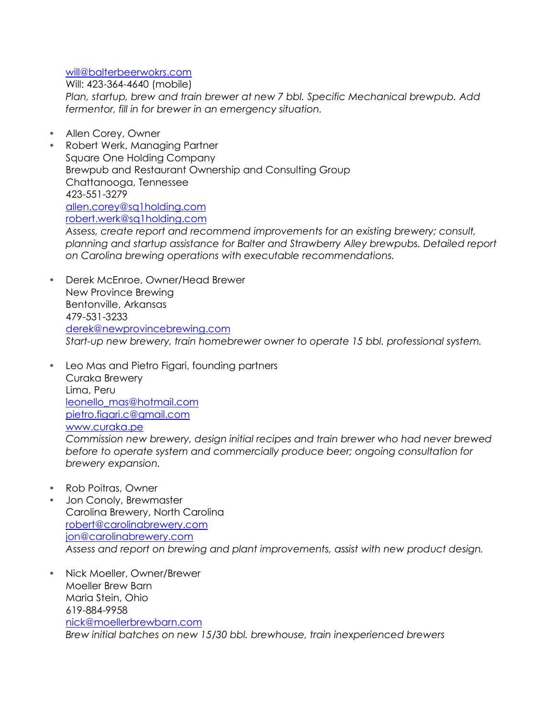## will@balterbeerwokrs.com

Will: 423-364-4640 (mobile)

*Plan, startup, brew and train brewer at new 7 bbl. Specific Mechanical brewpub. Add fermentor, fill in for brewer in an emergency situation.*

- Allen Corey, Owner
- Robert Werk, Managing Partner Square One Holding Company Brewpub and Restaurant Ownership and Consulting Group Chattanooga, Tennessee 423-551-3279 allen.corey@sq1holding.com robert.werk@sq1holding.com

*Assess, create report and recommend improvements for an existing brewery; consult, planning and startup assistance for Balter and Strawberry Alley brewpubs. Detailed report on Carolina brewing operations with executable recommendations.*

- Derek McEnroe, Owner/Head Brewer New Province Brewing Bentonville, Arkansas 479-531-3233 derek@newprovincebrewing.com *Start-up new brewery, train homebrewer owner to operate 15 bbl. professional system.*
- Leo Mas and Pietro Figari, founding partners Curaka Brewery Lima, Peru leonello\_mas@hotmail.com pietro.figari.c@gmail.com www.curaka.pe *Commission new brewery, design initial recipes and train brewer who had never brewed before to operate system and commercially produce beer; ongoing consultation for*
- Rob Poitras, Owner

*brewery expansion.*

- Jon Conoly, Brewmaster Carolina Brewery, North Carolina robert@carolinabrewery.com jon@carolinabrewery.com *Assess and report on brewing and plant improvements, assist with new product design.*
- Nick Moeller, Owner/Brewer Moeller Brew Barn Maria Stein, Ohio 619-884-9958 nick@moellerbrewbarn.com *Brew initial batches on new 15/30 bbl. brewhouse, train inexperienced brewers*